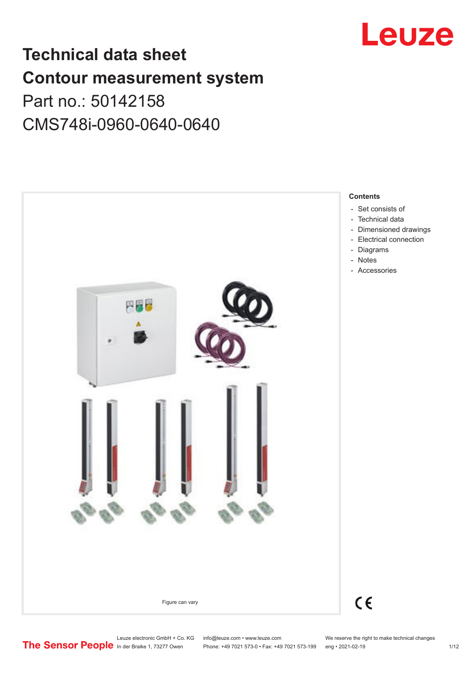

# **Technical data sheet Contour measurement system** Part no.: 50142158 CMS748i-0960-0640-0640



Leuze electronic GmbH + Co. KG info@leuze.com • www.leuze.com We reserve the right to make technical changes<br> **The Sensor People** in der Braike 1, 73277 Owen Phone: +49 7021 573-0 • Fax: +49 7021 573-199 eng • 2021-02-19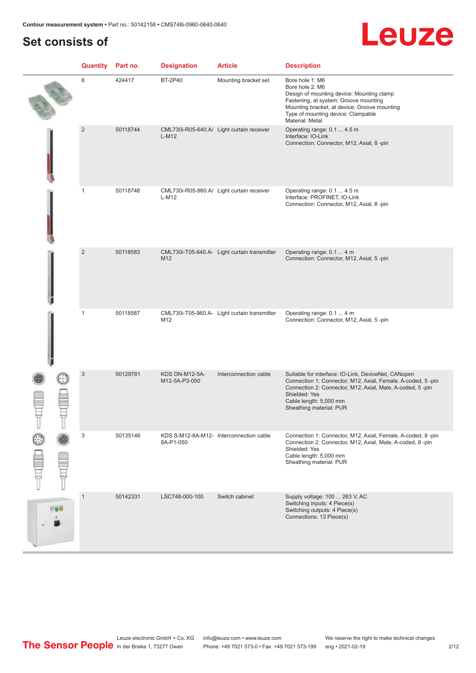# **Set consists of**

# Leuze

|     | Quantity       | Part no. | <b>Designation</b>              | <b>Article</b>                               | <b>Description</b>                                                                                                                                                                                                                                    |
|-----|----------------|----------|---------------------------------|----------------------------------------------|-------------------------------------------------------------------------------------------------------------------------------------------------------------------------------------------------------------------------------------------------------|
|     | 6              | 424417   | <b>BT-2P40</b>                  | Mounting bracket set                         | Bore hole 1: M6<br>Bore hole 2: M6<br>Design of mounting device: Mounting clamp<br>Fastening, at system: Groove mounting<br>Mounting bracket, at device: Groove mounting<br>Type of mounting device: Clampable<br>Material: Metal                     |
|     | $\overline{2}$ | 50118744 | $L-M12$                         | CML730i-R05-640.A/ Light curtain receiver    | Operating range: 0.1  4.5 m<br>Interface: IO-Link<br>Connection: Connector, M12, Axial, 8-pin                                                                                                                                                         |
|     | 1              | 50118748 | $L-M12$                         | CML730i-R05-960.A/ Light curtain receiver    | Operating range: 0.1  4.5 m<br>Interface: PROFINET, IO-Link<br>Connection: Connector, M12, Axial, 8-pin                                                                                                                                               |
|     | $\overline{2}$ | 50118583 | M12                             | CML730i-T05-640.A- Light curtain transmitter | Operating range: 0.1  4 m<br>Connection: Connector, M12, Axial, 5-pin                                                                                                                                                                                 |
|     | 1              | 50118587 | M12                             | CML730i-T05-960.A- Light curtain transmitter | Operating range: 0.1  4 m<br>Connection: Connector, M12, Axial, 5-pin                                                                                                                                                                                 |
|     | 3              | 50129781 | KDS DN-M12-5A-<br>M12-5A-P3-050 | Interconnection cable                        | Suitable for interface: IO-Link, DeviceNet, CANopen<br>Connection 1: Connector, M12, Axial, Female, A-coded, 5-pin<br>Connection 2: Connector, M12, Axial, Male, A-coded, 5-pin<br>Shielded: Yes<br>Cable length: 5,000 mm<br>Sheathing material: PUR |
|     | 3              | 50135146 | 8A-P1-050                       | KDS S-M12-8A-M12- Interconnection cable      | Connection 1: Connector, M12, Axial, Female, A-coded, 8-pin<br>Connection 2: Connector, M12, Axial, Male, A-coded, 8-pin<br>Shielded: Yes<br>Cable length: 5,000 mm<br>Sheathing material: PUR                                                        |
| 円程器 | $\mathbf{1}$   | 50142331 | LSC748-000-100                  | Switch cabinet                               | Supply voltage: 100  263 V, AC<br>Switching inputs: 4 Piece(s)<br>Switching outputs: 4 Piece(s)<br>Connections: 13 Piece(s)                                                                                                                           |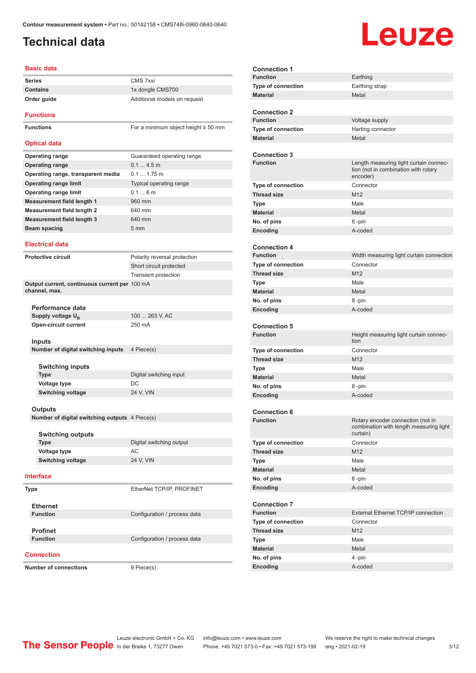## <span id="page-2-0"></span>**Technical data**

# Leuze

#### **Basic data**

| <b>Series</b>   | CMS 7xxi                     |
|-----------------|------------------------------|
| <b>Contains</b> | 1x dongle CMS700             |
| Order guide     | Additional models on request |

### **Functions**

**Functions** For a minimum object height ≥ 50 mm

**Connection 1**

### **Optical data**

| <b>Operating range</b>             | Guaranteed operating range |
|------------------------------------|----------------------------|
| <b>Operating range</b>             | 0.14.5m                    |
| Operating range, transparent media | $0.11.75$ m                |
| <b>Operating range limit</b>       | Typical operating range    |
| <b>Operating range limit</b>       | 0.16m                      |
| <b>Measurement field length 1</b>  | 960 mm                     |
| <b>Measurement field length 2</b>  | 640 mm                     |
| <b>Measurement field length 3</b>  | 640 mm                     |
| Beam spacing                       | $5 \text{ mm}$             |
|                                    |                            |

### **Electrical data**

**Protective circuit** Polarity reversal protection Short circuit protected Transient protection **Output current, continuous current per**  100 mA **channel, max.**

**Performance data** Supply voltage U<sub>B</sub> **Open-circuit current** 250 mA

100 ... 263 V, AC

### **Inputs**

**Number of digital switching inputs** 4 Piece(s)

| <b>Switching inputs</b>  |                         |
|--------------------------|-------------------------|
| <b>Type</b>              | Digital switching input |
| Voltage type             | DC.                     |
| <b>Switching voltage</b> | 24 V. VIN               |
|                          |                         |

### **Outputs**

**Number of digital switching outputs** 4 Piece(s)

| <b>Switching outputs</b> |                          |
|--------------------------|--------------------------|
| <b>Type</b>              | Digital switching output |
| Voltage type             | AC.                      |
| Switching voltage        | 24 V. VIN                |
|                          |                          |

### **Interface**

**Type** EtherNet TCP/IP, PROFINET **Ethernet**

| <b>Function</b> |  |
|-----------------|--|
|                 |  |

**Profinet**

### **Connection**

**Number of connections** 9 Piece(s)

**Function** Configuration / process data

**Configuration** / process data

| <b>Function</b>           | Earthing                                                                                   |
|---------------------------|--------------------------------------------------------------------------------------------|
| <b>Type of connection</b> | Earthing strap                                                                             |
| <b>Material</b>           | Metal                                                                                      |
|                           |                                                                                            |
| <b>Connection 2</b>       |                                                                                            |
| <b>Function</b>           | Voltage supply                                                                             |
| <b>Type of connection</b> | Harting connector                                                                          |
| <b>Material</b>           | Metal                                                                                      |
|                           |                                                                                            |
| <b>Connection 3</b>       |                                                                                            |
| <b>Function</b>           | Length measuring light curtain connec-<br>tion (not in combination with rotary<br>encoder) |
| <b>Type of connection</b> | Connector                                                                                  |
| <b>Thread size</b>        | M12                                                                                        |
| Type                      | Male                                                                                       |
| <b>Material</b>           | Metal                                                                                      |
| No. of pins               | 8-pin                                                                                      |
| Encoding                  | A-coded                                                                                    |
|                           |                                                                                            |
| <b>Connection 4</b>       |                                                                                            |
| <b>Function</b>           | Width measuring light curtain connection                                                   |
| Type of connection        | Connector                                                                                  |
| <b>Thread size</b>        | M12                                                                                        |
| <b>Type</b>               | Male                                                                                       |
| <b>Material</b>           | Metal                                                                                      |
| No. of pins               | 8-pin                                                                                      |
| Encoding                  | A-coded                                                                                    |
|                           |                                                                                            |
| <b>Connection 5</b>       |                                                                                            |
| <b>Function</b>           | Height measuring light curtain connec-<br>tion                                             |
| <b>Type of connection</b> | Connector                                                                                  |
| <b>Thread size</b>        | M <sub>12</sub>                                                                            |
| Type                      | Male                                                                                       |
| <b>Material</b>           | Metal                                                                                      |
| No. of pins               | 8-pin                                                                                      |
| Encoding                  | A-coded                                                                                    |
|                           |                                                                                            |
| <b>Connection 6</b>       |                                                                                            |
| <b>Function</b>           | Rotary encoder connection (not in<br>combination with length measuring light<br>curtain)   |
| <b>Type of connection</b> | Connector                                                                                  |
| <b>Thread size</b>        | M <sub>12</sub>                                                                            |
| <b>Type</b>               | Male                                                                                       |
| <b>Material</b>           | Metal                                                                                      |
| No. of pins               | 8-pin                                                                                      |
| Encoding                  | A-coded                                                                                    |
|                           |                                                                                            |
| <b>Connection 7</b>       |                                                                                            |
| <b>Function</b>           | External Ethernet TCP/IP connection                                                        |
| Type of connection        | Connector                                                                                  |
| <b>Thread size</b>        | M12                                                                                        |
| <b>Type</b>               | Male                                                                                       |
| <b>Material</b>           | Metal                                                                                      |
| No. of pins               | 4-pin                                                                                      |
| Encoding                  | A-coded                                                                                    |
|                           |                                                                                            |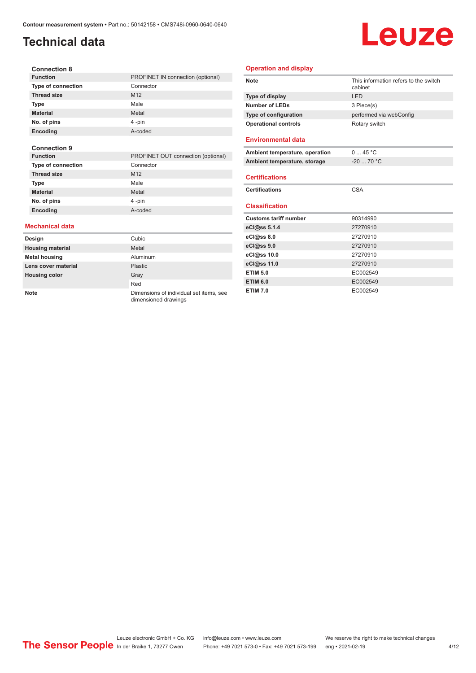## **Technical data**

# Leuze

| <b>Connection 8</b>       |                                   |
|---------------------------|-----------------------------------|
| <b>Function</b>           | PROFINET IN connection (optional) |
| <b>Type of connection</b> | Connector                         |
| <b>Thread size</b>        | M <sub>12</sub>                   |
| <b>Type</b>               | Male                              |
| <b>Material</b>           | Metal                             |
| No. of pins               | 4-pin                             |
| <b>Encoding</b>           | A-coded                           |
|                           |                                   |

### **Connection 9**

| <b>Function</b>           | PROFINET OUT connection (optional) |
|---------------------------|------------------------------------|
| <b>Type of connection</b> | Connector                          |
| <b>Thread size</b>        | M <sub>12</sub>                    |
| <b>Type</b>               | Male                               |
| <b>Material</b>           | Metal                              |
| No. of pins               | 4-pin                              |
| Encoding                  | A-coded                            |

### **Mechanical data**

| Design                  | Cubic                                                           |
|-------------------------|-----------------------------------------------------------------|
| <b>Housing material</b> | Metal                                                           |
| <b>Metal housing</b>    | Aluminum                                                        |
| Lens cover material     | Plastic                                                         |
| <b>Housing color</b>    | Gray                                                            |
|                         | Red                                                             |
| <b>Note</b>             | Dimensions of individual set items, see<br>dimensioned drawings |

### **Operation and display**

| <b>Note</b>                    | This information refers to the switch<br>cabinet |
|--------------------------------|--------------------------------------------------|
| Type of display                | LED                                              |
| <b>Number of LEDs</b>          | 3 Piece(s)                                       |
| Type of configuration          | performed via webConfig                          |
| <b>Operational controls</b>    | Rotary switch                                    |
| <b>Environmental data</b>      |                                                  |
| Ambient temperature, operation | 045 °C                                           |
| Ambient temperature, storage   | $-20$ 70 °C                                      |
| <b>Certifications</b>          |                                                  |
| <b>Certifications</b>          | <b>CSA</b>                                       |
| <b>Classification</b>          |                                                  |
| <b>Customs tariff number</b>   | 90314990                                         |
| eCl@ss 5.1.4                   | 27270910                                         |
| eCl@ss 8.0                     | 27270910                                         |
| eCl@ss 9.0                     | 27270910                                         |
| eCl@ss 10.0                    | 27270910                                         |
| eCl@ss 11.0                    | 27270910                                         |
| <b>ETIM 5.0</b>                | EC002549                                         |
| <b>ETIM 6.0</b>                | EC002549                                         |
| <b>ETIM 7.0</b>                | EC002549                                         |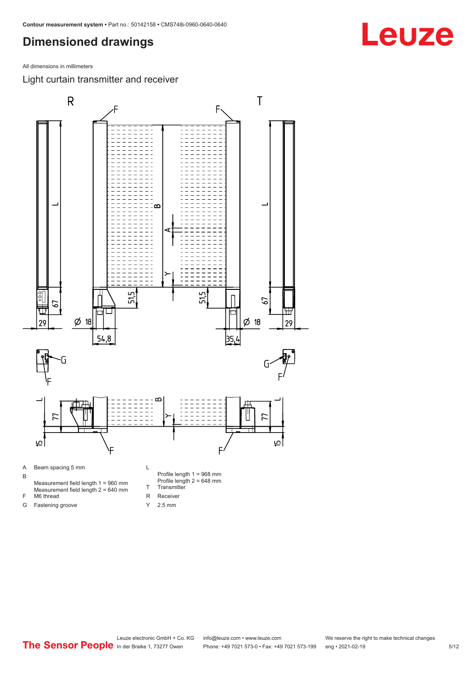## <span id="page-4-0"></span>**Dimensioned drawings**

All dimensions in millimeters

Light curtain transmitter and receiver



Y 2.5 mm

# Leuze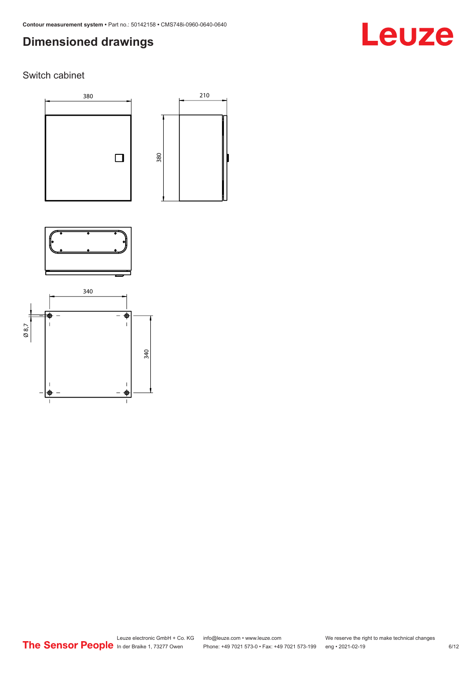## **Dimensioned drawings**

# Leuze

Switch cabinet





210



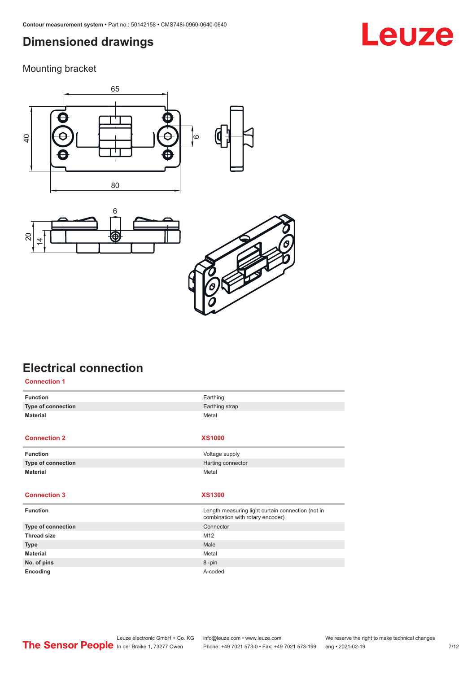## <span id="page-6-0"></span>**Dimensioned drawings**

Mounting bracket







# **Electrical connection**

| <b>Connection 1</b> |                                                                                       |
|---------------------|---------------------------------------------------------------------------------------|
| <b>Function</b>     | Earthing                                                                              |
| Type of connection  | Earthing strap                                                                        |
| <b>Material</b>     | Metal                                                                                 |
|                     |                                                                                       |
| <b>Connection 2</b> | <b>XS1000</b>                                                                         |
| <b>Function</b>     | Voltage supply                                                                        |
| Type of connection  | Harting connector                                                                     |
| <b>Material</b>     | Metal                                                                                 |
|                     |                                                                                       |
|                     |                                                                                       |
| <b>Connection 3</b> | <b>XS1300</b>                                                                         |
|                     |                                                                                       |
| <b>Function</b>     | Length measuring light curtain connection (not in<br>combination with rotary encoder) |
| Type of connection  | Connector                                                                             |
| <b>Thread size</b>  | M12                                                                                   |
| <b>Type</b>         | Male                                                                                  |
| <b>Material</b>     | Metal                                                                                 |
| No. of pins         | 8-pin                                                                                 |

# **Leuze**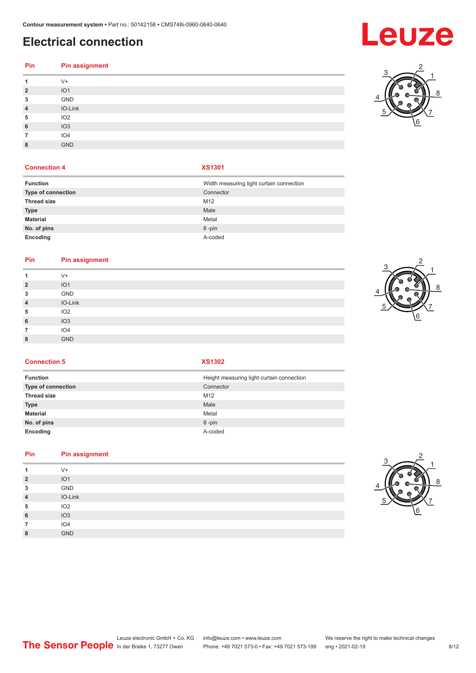# **Electrical connection**

# **Pin Pin assignment**

| 1              | $V +$           |
|----------------|-----------------|
| $\overline{2}$ | IO <sub>1</sub> |
| 3              | GND             |
| $\overline{4}$ | IO-Link         |
| 5              | IO <sub>2</sub> |
| 6              | IO3             |
| 7              | IO <sub>4</sub> |
| 8              | <b>GND</b>      |
|                |                 |

### **Connection 4 XS1301**

| <b>Function</b>    | Width measuring light curtain connection |
|--------------------|------------------------------------------|
| Type of connection | Connector                                |
| <b>Thread size</b> | M <sub>12</sub>                          |
| <b>Type</b>        | Male                                     |
| <b>Material</b>    | Metal                                    |
| No. of pins        | 8-pin                                    |
| Encoding           | A-coded                                  |

### **Pin Pin assignment**

| 1              | $V +$           |
|----------------|-----------------|
| $\overline{2}$ | IO <sub>1</sub> |
| 3              | GND             |
| $\overline{4}$ | IO-Link         |
| 5              | IO <sub>2</sub> |
| 6              | IO3             |
| 7              | IO <sub>4</sub> |
| 8              | <b>GND</b>      |
|                |                 |



**Connection 5 XS1302**

| <b>Function</b>           | Height measuring light curtain connection |
|---------------------------|-------------------------------------------|
| <b>Type of connection</b> | Connector                                 |
| <b>Thread size</b>        | M <sub>12</sub>                           |
| <b>Type</b>               | Male                                      |
| <b>Material</b>           | Metal                                     |
| No. of pins               | 8-pin                                     |
| Encoding                  | A-coded                                   |

### **Pin Pin assignment**

| 1              | $V +$           |  |
|----------------|-----------------|--|
| $\overline{2}$ | IO1             |  |
| 3              | GND             |  |
| $\overline{4}$ | IO-Link         |  |
| 5              | IO <sub>2</sub> |  |
| 6              | IO3             |  |
| 7              | IO <sub>4</sub> |  |
| 8              | <b>GND</b>      |  |
|                |                 |  |





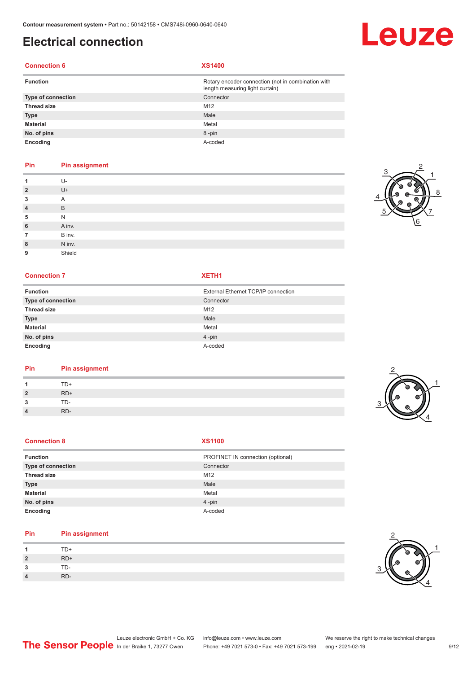# **Electrical connection**

### **Connection 6 XS1400**

| <b>Function</b>    | Rotary encoder connection (not in combination with<br>length measuring light curtain) |
|--------------------|---------------------------------------------------------------------------------------|
| Type of connection | Connector                                                                             |
| <b>Thread size</b> | M <sub>12</sub>                                                                       |
| <b>Type</b>        | Male                                                                                  |
| <b>Material</b>    | Metal                                                                                 |
| No. of pins        | 8-pin                                                                                 |
| Encoding           | A-coded                                                                               |

### **Pin Pin assignment**

|                | $U -$  |
|----------------|--------|
| $\overline{2}$ | $U +$  |
| 3              | Α      |
| $\overline{4}$ | B      |
| 5              | N      |
| 6              | A inv. |
| 7              | B inv. |
| 8              | N inv. |
| 9              | Shield |

### **Connection 7 XETH1**

| <b>Function</b>    | External Ethernet TCP/IP connection |
|--------------------|-------------------------------------|
| Type of connection | Connector                           |
| <b>Thread size</b> | M12                                 |
| <b>Type</b>        | Male                                |
| <b>Material</b>    | Metal                               |
| No. of pins        | $4 - pin$                           |
| Encoding           | A-coded                             |

### **Pin Pin assignment**

| Pin              | Pin assignment |  |
|------------------|----------------|--|
|                  | $TD+$          |  |
| $\overline{2}$   | $RD+$          |  |
| 3                | TD-            |  |
| $\boldsymbol{4}$ | RD-            |  |
|                  |                |  |

### **Connection 8**

| w |  |
|---|--|

| Function           | PROFINET IN connection (optional) |
|--------------------|-----------------------------------|
| Type of connection | Connector                         |
| <b>Thread size</b> | M12                               |
| <b>Type</b>        | Male                              |
| Material           | Metal                             |
| No. of pins        | $4$ -pin                          |
| Encoding           | A-coded                           |

### **Pin Pin assignment**

|                | $TD+$ |  |  |
|----------------|-------|--|--|
| $\overline{2}$ | RD+   |  |  |
| 3              | TD-   |  |  |
| 4              | RD-   |  |  |



4

1





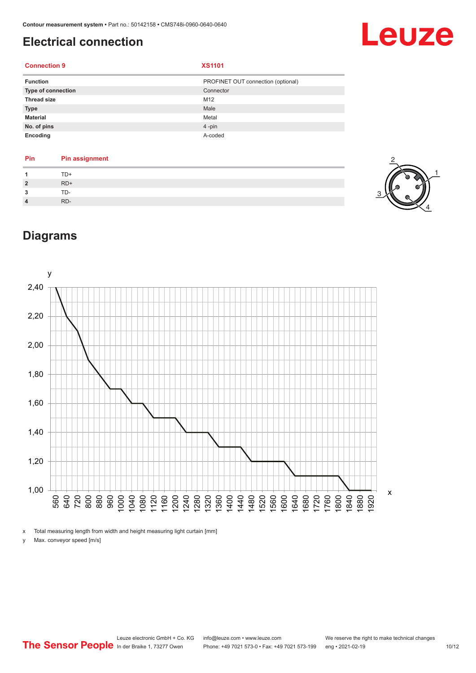# <span id="page-9-0"></span>**Electrical connection**

# Leuze

### **Connection 9 XS1101**

| <b>Function</b>           | PROFINET OUT connection (optional) |
|---------------------------|------------------------------------|
| <b>Type of connection</b> | Connector                          |
| <b>Thread size</b>        | M12                                |
| <b>Type</b>               | Male                               |
| <b>Material</b>           | Metal                              |
| No. of pins               | $4$ -pin                           |
| Encoding                  | A-coded                            |

| Pin            | <b>Pin assignment</b> |
|----------------|-----------------------|
|                | TD+                   |
| $\overline{2}$ | $RD+$                 |
| 3              | TD-                   |
|                | RD-                   |



# **Diagrams**



x Total measuring length from width and height measuring light curtain [mm]

y Max. conveyor speed [m/s]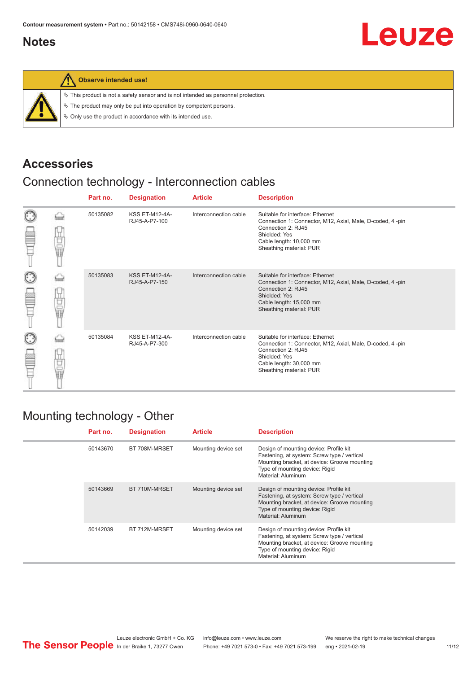## <span id="page-10-0"></span>**Notes**





### **Observe intended use!**

|  |  |  |  |  |  |  |  |  |  | $\%$ This product is not a safety sensor and is not intended as personnel protection. |  |
|--|--|--|--|--|--|--|--|--|--|---------------------------------------------------------------------------------------|--|
|--|--|--|--|--|--|--|--|--|--|---------------------------------------------------------------------------------------|--|

 $\%$  The product may only be put into operation by competent persons.

 $\%$  Only use the product in accordance with its intended use.

### **Accessories**

# Connection technology - Interconnection cables

|                      |    | Part no. | <b>Designation</b>                     | <b>Article</b>        | <b>Description</b>                                                                                                                                                                         |
|----------------------|----|----------|----------------------------------------|-----------------------|--------------------------------------------------------------------------------------------------------------------------------------------------------------------------------------------|
| $_{\mathbb{C}}$<br>œ | Ī  | 50135082 | <b>KSS ET-M12-4A-</b><br>RJ45-A-P7-100 | Interconnection cable | Suitable for interface: Ethernet<br>Connection 1: Connector, M12, Axial, Male, D-coded, 4-pin<br>Connection 2: RJ45<br>Shielded: Yes<br>Cable length: 10,000 mm<br>Sheathing material: PUR |
| $_{\odot}$           | 甘量 | 50135083 | <b>KSS ET-M12-4A-</b><br>RJ45-A-P7-150 | Interconnection cable | Suitable for interface: Ethernet<br>Connection 1: Connector, M12, Axial, Male, D-coded, 4-pin<br>Connection 2: RJ45<br>Shielded: Yes<br>Cable length: 15,000 mm<br>Sheathing material: PUR |
| $_{\mathbb{C}}$<br>Ê | 甘量 | 50135084 | <b>KSS ET-M12-4A-</b><br>RJ45-A-P7-300 | Interconnection cable | Suitable for interface: Ethernet<br>Connection 1: Connector, M12, Axial, Male, D-coded, 4-pin<br>Connection 2: RJ45<br>Shielded: Yes<br>Cable length: 30,000 mm<br>Sheathing material: PUR |

### Mounting technology - Other

|  | Part no. | <b>Designation</b> | <b>Article</b>      | <b>Description</b>                                                                                                                                                                            |
|--|----------|--------------------|---------------------|-----------------------------------------------------------------------------------------------------------------------------------------------------------------------------------------------|
|  | 50143670 | BT 708M-MRSET      | Mounting device set | Design of mounting device: Profile kit<br>Fastening, at system: Screw type / vertical<br>Mounting bracket, at device: Groove mounting<br>Type of mounting device: Rigid<br>Material: Aluminum |
|  | 50143669 | BT 710M-MRSET      | Mounting device set | Design of mounting device: Profile kit<br>Fastening, at system: Screw type / vertical<br>Mounting bracket, at device: Groove mounting<br>Type of mounting device: Rigid<br>Material: Aluminum |
|  | 50142039 | BT 712M-MRSET      | Mounting device set | Design of mounting device: Profile kit<br>Fastening, at system: Screw type / vertical<br>Mounting bracket, at device: Groove mounting<br>Type of mounting device: Rigid<br>Material: Aluminum |